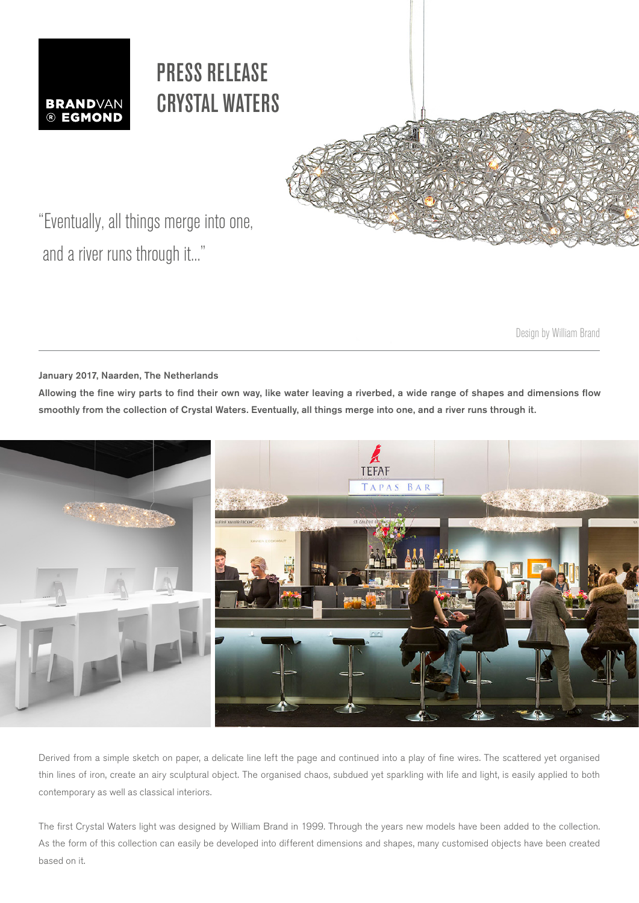

## PRESS RELEASE CRYSTAL WATERS



"Eventually, all things merge into one, and a river runs through it..."

Design by William Brand

January 2017, Naarden, The Netherlands

Allowing the fine wiry parts to find their own way, like water leaving a riverbed, a wide range of shapes and dimensions flow smoothly from the collection of Crystal Waters. Eventually, all things merge into one, and a river runs through it.



Derived from a simple sketch on paper, a delicate line left the page and continued into a play of fine wires. The scattered yet organised thin lines of iron, create an airy sculptural object. The organised chaos, subdued yet sparkling with life and light, is easily applied to both contemporary as well as classical interiors.

The first Crystal Waters light was designed by William Brand in 1999. Through the years new models have been added to the collection. As the form of this collection can easily be developed into different dimensions and shapes, many customised objects have been created based on it.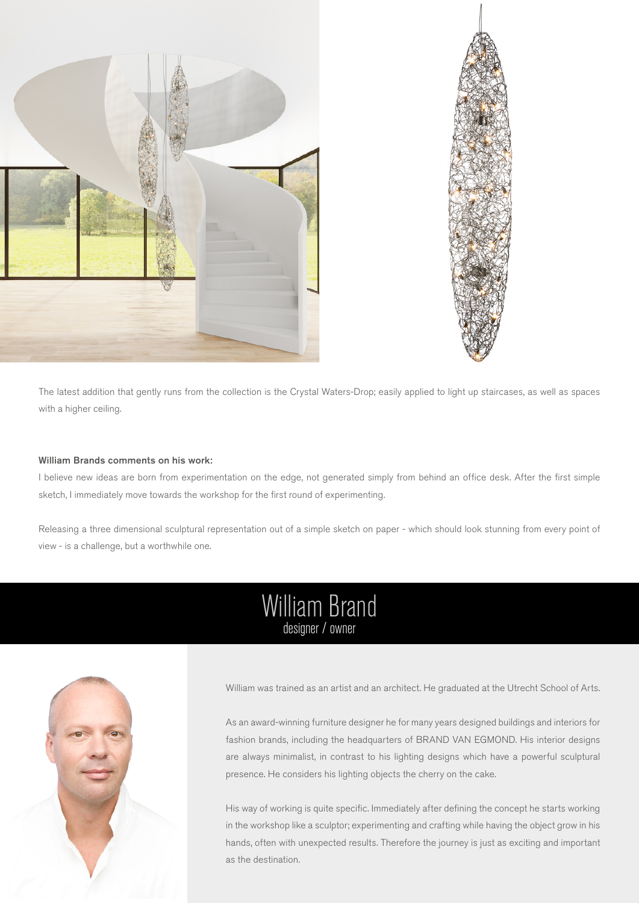



The latest addition that gently runs from the collection is the Crystal Waters-Drop; easily applied to light up staircases, as well as spaces with a higher ceiling.

### William Brands comments on his work:

I believe new ideas are born from experimentation on the edge, not generated simply from behind an office desk. After the first simple sketch, I immediately move towards the workshop for the first round of experimenting.

Releasing a three dimensional sculptural representation out of a simple sketch on paper - which should look stunning from every point of view - is a challenge, but a worthwhile one.

## William Brand designer / owner



William was trained as an artist and an architect. He graduated at the Utrecht School of Arts.

As an award-winning furniture designer he for many years designed buildings and interiors for fashion brands, including the headquarters of BRAND VAN EGMOND. His interior designs are always minimalist, in contrast to his lighting designs which have a powerful sculptural presence. He considers his lighting objects the cherry on the cake.

His way of working is quite specific. Immediately after defining the concept he starts working in the workshop like a sculptor; experimenting and crafting while having the object grow in his hands, often with unexpected results. Therefore the journey is just as exciting and important as the destination.